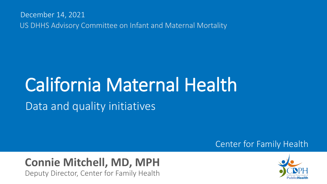December 14, 2021 US DHHS Advisory Committee on Infant and Maternal Mortality

# California Maternal Health Data and quality initiatives

#### Center for Family Health

#### **Connie Mitchell, MD, MPH** Deputy Director, Center for Family Health

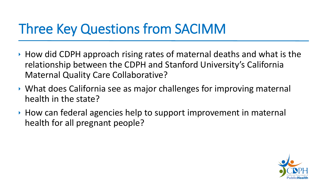# Three Key Questions from SACIMM

- $\rightarrow$  How did CDPH approach rising rates of maternal deaths and what is the relationship between the CDPH and Stanford University's California Maternal Quality Care Collaborative?
- What does California see as major challenges for improving maternal health in the state?
- ▸ How can federal agencies help to support improvement in maternal health for all pregnant people?

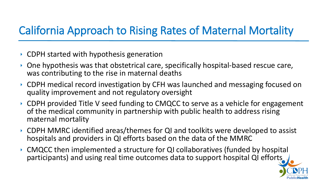### California Approach to Rising Rates of Maternal Mortality

- ▶ CDPH started with hypothesis generation
- ▶ One hypothesis was that obstetrical care, specifically hospital-based rescue care, was contributing to the rise in maternal deaths
- CDPH medical record investigation by CFH was launched and messaging focused on quality improvement and not regulatory oversight
- ▶ CDPH provided Title V seed funding to CMQCC to serve as a vehicle for engagement of the medical community in partnership with public health to address rising maternal mortality
- CDPH MMRC identified areas/themes for QI and toolkits were developed to assist hospitals and providers in QI efforts based on the data of the MMRC
- CMQCC then implemented a structure for QI collaboratives (funded by hospital participants) and using real time outcomes data to support hospital QI efforts

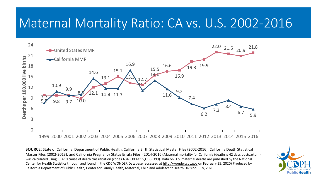# Maternal Mortality Ratio: CA vs. U.S. 2002-2016



**SOURCE:** State of California, Department of Public Health, California Birth Statistical Master Files (2002-2016), California Death Statistical Master Files (2002-2013), and California Pregnancy Status Errata Files, (2014-2016).Maternal mortality for California (deaths ≤ 42 days postpartum) was calculated using ICD-10 cause of death classification (codes A34, O00-O95,O98-O99). Data on U.S. maternal deaths are published by the National Center for Health Statistics through and found in the CDC WONDER Database (accessed at [http://wonder.cdc.gov](http://wonder.cdc.gov/) on February 25, 2020) Produced by California Department of Public Health, Center for Family Health, Maternal, Child and Adolescent Health Division, July, 2020.

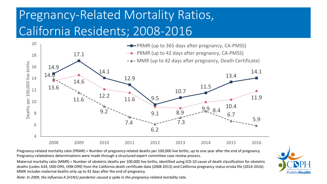# Pregnancy-Related Mortality Ratios, California Residents; 2008-2016



Pregnancy-related mortality ratio (PRMR) = Number of pregnancy-related deaths per 100,000 live births, up to one year after the end of pregnancy. Pregnancy-relatedness determinations were made through a structured expert committee case review process.

Maternal mortality ratio (MMR) = Number of obstetric deaths per 100,000 live births, identified using ICD-10 cause of death classification for obstetric deaths (codes A34, O00-O95, O98-O99) from the California death certificate data (2008-2013) and California pregnancy status errata file (2014-2016). MMR includes maternal deaths only up to 42 days after the end of pregnancy.

*Note: In 2009, the influenza A (H1N1) pandemic caused a spike in the pregnancy-related mortality rate.*

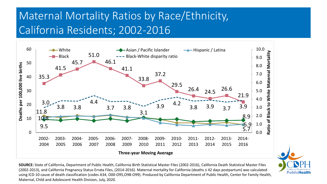### Maternal Mortality Ratios by Race/Ethnicity, California Residents; 2002-2016



**SOURCE:** State of California, Department of Public Health, California Birth Statistical Master Files (2002-2016), California Death Statistical Master Files (2002-2013), and California Pregnancy Status Errata Files, (2014-2016). Maternal mortality for California (deaths ≤ 42 days postpartum) was calculated using ICD-10 cause of death classification (codes A34, O00-O95,O98-O99). Produced by California Department of Public Health, Center for Family Health, Maternal, Child and Adolescent Health Division, July, 2020.

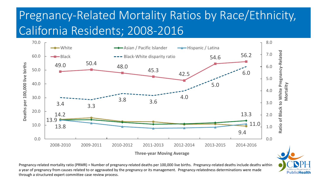# Pregnancy-Related Mortality Ratios by Race/Ethnicity, California Residents; 2008-2016



Pregnancy-related mortality ratio (PRMR) = Number of pregnancy-related deaths per 100,000 live births. Pregnancy-related deaths include deaths within a year of pregnancy from causes related to or aggravated by the pregnancy or its management. Pregnancy-relatedness determinations were made through a structured expert committee case review process.

**PublicHealth**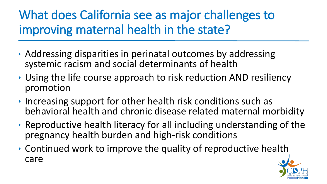# What does California see as major challenges to improving maternal health in the state?

- Addressing disparities in perinatal outcomes by addressing systemic racism and social determinants of health
- ▶ Using the life course approach to risk reduction AND resiliency promotion
- Increasing support for other health risk conditions such as behavioral health and chronic disease related maternal morbidity
- Reproductive health literacy for all including understanding of the pregnancy health burden and high-risk conditions
- Continued work to improve the quality of reproductive health care

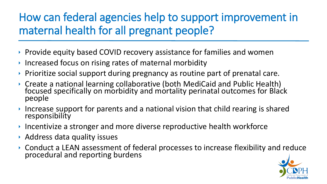### How can federal agencies help to support improvement in maternal health for all pregnant people?

- **Provide equity based COVID recovery assistance for families and women**
- Increased focus on rising rates of maternal morbidity
- Prioritize social support during pregnancy as routine part of prenatal care.
- Create a national learning collaborative (both MediCaid and Public Health) focused specifically on morbidity and mortality perinatal outcomes for Black people
- Increase support for parents and a national vision that child rearing is shared responsibility
- Incentivize a stronger and more diverse reproductive health workforce
- Address data quality issues
- Conduct a LEAN assessment of federal processes to increase flexibility and reduce procedural and reporting burdens

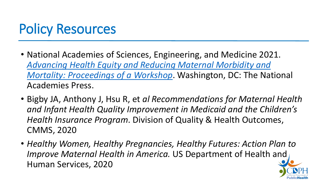# Policy Resources

- National Academies of Sciences, Engineering, and Medicine 2021. *[Advancing Health Equity and Reducing Maternal Morbidity and](https://doi.org/10.17226/26307)  Mortality: Proceedings of a Workshop*. Washington, DC: The National Academies Press.
- Bigby JA, Anthony J, Hsu R, et *al Recommendations for Maternal Health and Infant Health Quality Improvement in Medicaid and the Children's Health Insurance Program*. Division of Quality & Health Outcomes, CMMS, 2020
- *Healthy Women, Healthy Pregnancies, Healthy Futures: Action Plan to Improve Maternal Health in America.* US Department of Health and Human Services, 2020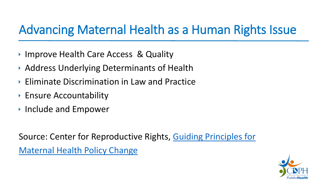## Advancing Maternal Health as a Human Rights Issue

- ▶ Improve Health Care Access & Quality
- Address Underlying Determinants of Health
- Eliminate Discrimination in Law and Practice
- **Ensure Accountability**
- ▶ Include and Empower

Source: Center for Reproductive Rights, [Guiding Principles for](https://reproductiverights.org/wp-content/uploads/2021/03/USPA_MH_OnePager_Policy-Center.pdf) [Maternal Health Policy Change](https://reproductiverights.org/wp-content/uploads/2021/03/USPA_MH_OnePager_Policy-Center.pdf)